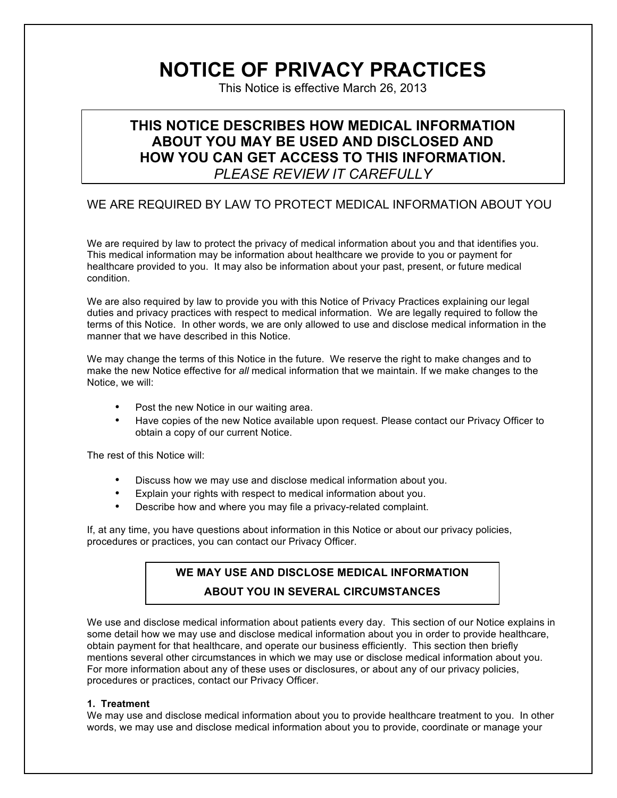# **NOTICE OF PRIVACY PRACTICES**

This Notice is effective March 26, 2013

# **THIS NOTICE DESCRIBES HOW MEDICAL INFORMATION ABOUT YOU MAY BE USED AND DISCLOSED AND HOW YOU CAN GET ACCESS TO THIS INFORMATION.** *PLEASE REVIEW IT CAREFULLY*

# WE ARE REQUIRED BY LAW TO PROTECT MEDICAL INFORMATION ABOUT YOU

We are required by law to protect the privacy of medical information about you and that identifies you. This medical information may be information about healthcare we provide to you or payment for healthcare provided to you. It may also be information about your past, present, or future medical condition.

We are also required by law to provide you with this Notice of Privacy Practices explaining our legal duties and privacy practices with respect to medical information. We are legally required to follow the terms of this Notice. In other words, we are only allowed to use and disclose medical information in the manner that we have described in this Notice.

We may change the terms of this Notice in the future. We reserve the right to make changes and to make the new Notice effective for *all* medical information that we maintain. If we make changes to the Notice, we will:

- Post the new Notice in our waiting area.
- Have copies of the new Notice available upon request. Please contact our Privacy Officer to obtain a copy of our current Notice.

The rest of this Notice will:

- Discuss how we may use and disclose medical information about you.
- Explain your rights with respect to medical information about you.
- Describe how and where you may file a privacy-related complaint.

If, at any time, you have questions about information in this Notice or about our privacy policies, procedures or practices, you can contact our Privacy Officer.

## **WE MAY USE AND DISCLOSE MEDICAL INFORMATION**

#### **ABOUT YOU IN SEVERAL CIRCUMSTANCES**

We use and disclose medical information about patients every day. This section of our Notice explains in some detail how we may use and disclose medical information about you in order to provide healthcare, obtain payment for that healthcare, and operate our business efficiently. This section then briefly mentions several other circumstances in which we may use or disclose medical information about you. For more information about any of these uses or disclosures, or about any of our privacy policies, procedures or practices, contact our Privacy Officer.

#### **1. Treatment**

We may use and disclose medical information about you to provide healthcare treatment to you. In other words, we may use and disclose medical information about you to provide, coordinate or manage your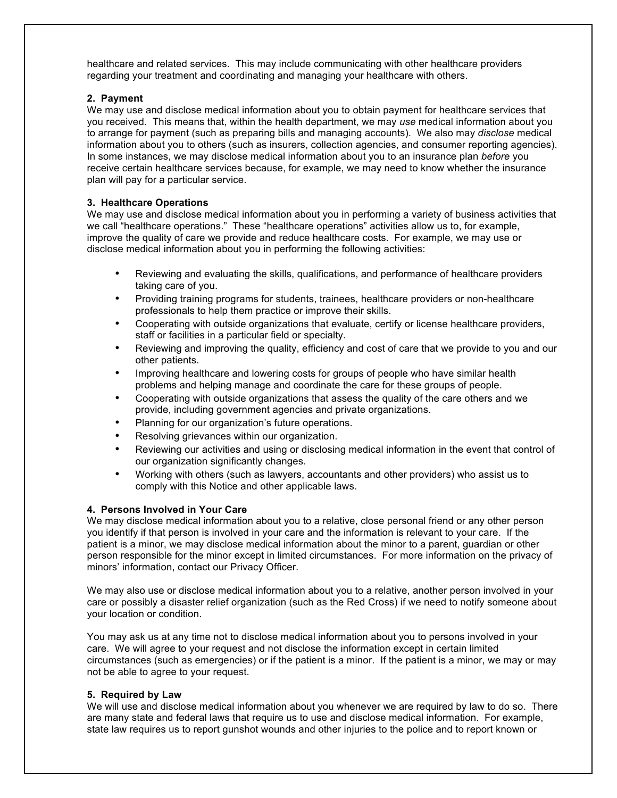healthcare and related services. This may include communicating with other healthcare providers regarding your treatment and coordinating and managing your healthcare with others.

#### **2. Payment**

We may use and disclose medical information about you to obtain payment for healthcare services that you received. This means that, within the health department, we may *use* medical information about you to arrange for payment (such as preparing bills and managing accounts). We also may *disclose* medical information about you to others (such as insurers, collection agencies, and consumer reporting agencies). In some instances, we may disclose medical information about you to an insurance plan *before* you receive certain healthcare services because, for example, we may need to know whether the insurance plan will pay for a particular service.

#### **3. Healthcare Operations**

We may use and disclose medical information about you in performing a variety of business activities that we call "healthcare operations." These "healthcare operations" activities allow us to, for example, improve the quality of care we provide and reduce healthcare costs. For example, we may use or disclose medical information about you in performing the following activities:

- Reviewing and evaluating the skills, qualifications, and performance of healthcare providers taking care of you.
- Providing training programs for students, trainees, healthcare providers or non-healthcare professionals to help them practice or improve their skills.
- Cooperating with outside organizations that evaluate, certify or license healthcare providers, staff or facilities in a particular field or specialty.
- Reviewing and improving the quality, efficiency and cost of care that we provide to you and our other patients.
- Improving healthcare and lowering costs for groups of people who have similar health problems and helping manage and coordinate the care for these groups of people.
- Cooperating with outside organizations that assess the quality of the care others and we provide, including government agencies and private organizations.
- Planning for our organization's future operations.
- Resolving grievances within our organization.
- Reviewing our activities and using or disclosing medical information in the event that control of our organization significantly changes.
- Working with others (such as lawyers, accountants and other providers) who assist us to comply with this Notice and other applicable laws.

#### **4. Persons Involved in Your Care**

We may disclose medical information about you to a relative, close personal friend or any other person you identify if that person is involved in your care and the information is relevant to your care. If the patient is a minor, we may disclose medical information about the minor to a parent, guardian or other person responsible for the minor except in limited circumstances. For more information on the privacy of minors' information, contact our Privacy Officer.

We may also use or disclose medical information about you to a relative, another person involved in your care or possibly a disaster relief organization (such as the Red Cross) if we need to notify someone about your location or condition.

You may ask us at any time not to disclose medical information about you to persons involved in your care. We will agree to your request and not disclose the information except in certain limited circumstances (such as emergencies) or if the patient is a minor. If the patient is a minor, we may or may not be able to agree to your request.

#### **5. Required by Law**

We will use and disclose medical information about you whenever we are required by law to do so. There are many state and federal laws that require us to use and disclose medical information. For example, state law requires us to report gunshot wounds and other injuries to the police and to report known or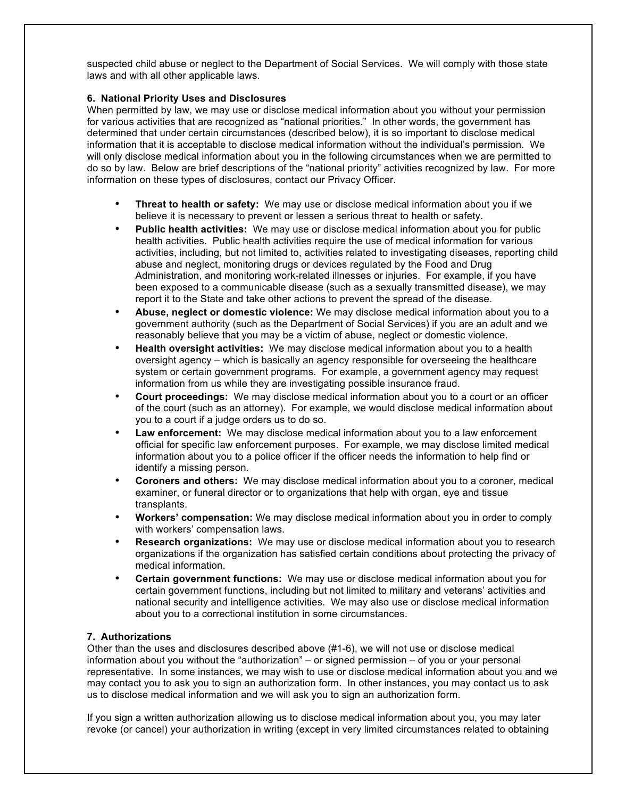suspected child abuse or neglect to the Department of Social Services. We will comply with those state laws and with all other applicable laws.

#### **6. National Priority Uses and Disclosures**

When permitted by law, we may use or disclose medical information about you without your permission for various activities that are recognized as "national priorities." In other words, the government has determined that under certain circumstances (described below), it is so important to disclose medical information that it is acceptable to disclose medical information without the individual's permission. We will only disclose medical information about you in the following circumstances when we are permitted to do so by law. Below are brief descriptions of the "national priority" activities recognized by law. For more information on these types of disclosures, contact our Privacy Officer.

- **Threat to health or safety:** We may use or disclose medical information about you if we believe it is necessary to prevent or lessen a serious threat to health or safety.
- **Public health activities:** We may use or disclose medical information about you for public health activities. Public health activities require the use of medical information for various activities, including, but not limited to, activities related to investigating diseases, reporting child abuse and neglect, monitoring drugs or devices regulated by the Food and Drug Administration, and monitoring work-related illnesses or injuries. For example, if you have been exposed to a communicable disease (such as a sexually transmitted disease), we may report it to the State and take other actions to prevent the spread of the disease.
- **Abuse, neglect or domestic violence:** We may disclose medical information about you to a government authority (such as the Department of Social Services) if you are an adult and we reasonably believe that you may be a victim of abuse, neglect or domestic violence.
- **Health oversight activities:** We may disclose medical information about you to a health oversight agency – which is basically an agency responsible for overseeing the healthcare system or certain government programs. For example, a government agency may request information from us while they are investigating possible insurance fraud.
- **Court proceedings:** We may disclose medical information about you to a court or an officer of the court (such as an attorney). For example, we would disclose medical information about you to a court if a judge orders us to do so.
- **Law enforcement:** We may disclose medical information about you to a law enforcement official for specific law enforcement purposes. For example, we may disclose limited medical information about you to a police officer if the officer needs the information to help find or identify a missing person.
- **Coroners and others:** We may disclose medical information about you to a coroner, medical examiner, or funeral director or to organizations that help with organ, eye and tissue transplants.
- **Workers' compensation:** We may disclose medical information about you in order to comply with workers' compensation laws.
- **Research organizations:** We may use or disclose medical information about you to research organizations if the organization has satisfied certain conditions about protecting the privacy of medical information.
- **Certain government functions:** We may use or disclose medical information about you for certain government functions, including but not limited to military and veterans' activities and national security and intelligence activities. We may also use or disclose medical information about you to a correctional institution in some circumstances.

#### **7. Authorizations**

Other than the uses and disclosures described above (#1-6), we will not use or disclose medical information about you without the "authorization" – or signed permission – of you or your personal representative. In some instances, we may wish to use or disclose medical information about you and we may contact you to ask you to sign an authorization form. In other instances, you may contact us to ask us to disclose medical information and we will ask you to sign an authorization form.

If you sign a written authorization allowing us to disclose medical information about you, you may later revoke (or cancel) your authorization in writing (except in very limited circumstances related to obtaining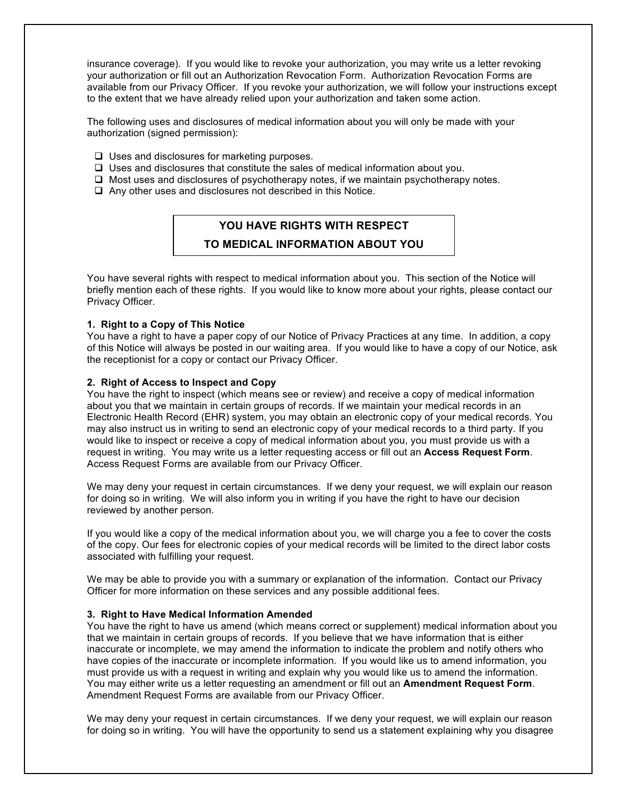insurance coverage). If you would like to revoke your authorization, you may write us a letter revoking your authorization or fill out an Authorization Revocation Form. Authorization Revocation Forms are available from our Privacy Officer. If you revoke your authorization, we will follow your instructions except to the extent that we have already relied upon your authorization and taken some action.

The following uses and disclosures of medical information about you will only be made with your authorization (signed permission):

- $\Box$  Uses and disclosures for marketing purposes.
- $\Box$  Uses and disclosures that constitute the sales of medical information about you.
- $\Box$  Most uses and disclosures of psychotherapy notes, if we maintain psychotherapy notes.
- $\Box$  Any other uses and disclosures not described in this Notice.

## **YOU HAVE RIGHTS WITH RESPECT**

#### **TO MEDICAL INFORMATION ABOUT YOU**

You have several rights with respect to medical information about you. This section of the Notice will briefly mention each of these rights. If you would like to know more about your rights, please contact our Privacy Officer.

#### **1. Right to a Copy of This Notice**

You have a right to have a paper copy of our Notice of Privacy Practices at any time. In addition, a copy of this Notice will always be posted in our waiting area. If you would like to have a copy of our Notice, ask the receptionist for a copy or contact our Privacy Officer.

#### **2. Right of Access to Inspect and Copy**

You have the right to inspect (which means see or review) and receive a copy of medical information about you that we maintain in certain groups of records. If we maintain your medical records in an Electronic Health Record (EHR) system, you may obtain an electronic copy of your medical records. You may also instruct us in writing to send an electronic copy of your medical records to a third party. If you would like to inspect or receive a copy of medical information about you, you must provide us with a request in writing. You may write us a letter requesting access or fill out an **Access Request Form**. Access Request Forms are available from our Privacy Officer.

We may deny your request in certain circumstances. If we deny your request, we will explain our reason for doing so in writing. We will also inform you in writing if you have the right to have our decision reviewed by another person.

If you would like a copy of the medical information about you, we will charge you a fee to cover the costs of the copy. Our fees for electronic copies of your medical records will be limited to the direct labor costs associated with fulfilling your request.

We may be able to provide you with a summary or explanation of the information. Contact our Privacy Officer for more information on these services and any possible additional fees.

#### **3. Right to Have Medical Information Amended**

You have the right to have us amend (which means correct or supplement) medical information about you that we maintain in certain groups of records. If you believe that we have information that is either inaccurate or incomplete, we may amend the information to indicate the problem and notify others who have copies of the inaccurate or incomplete information. If you would like us to amend information, you must provide us with a request in writing and explain why you would like us to amend the information. You may either write us a letter requesting an amendment or fill out an **Amendment Request Form**. Amendment Request Forms are available from our Privacy Officer.

We may deny your request in certain circumstances. If we deny your request, we will explain our reason for doing so in writing. You will have the opportunity to send us a statement explaining why you disagree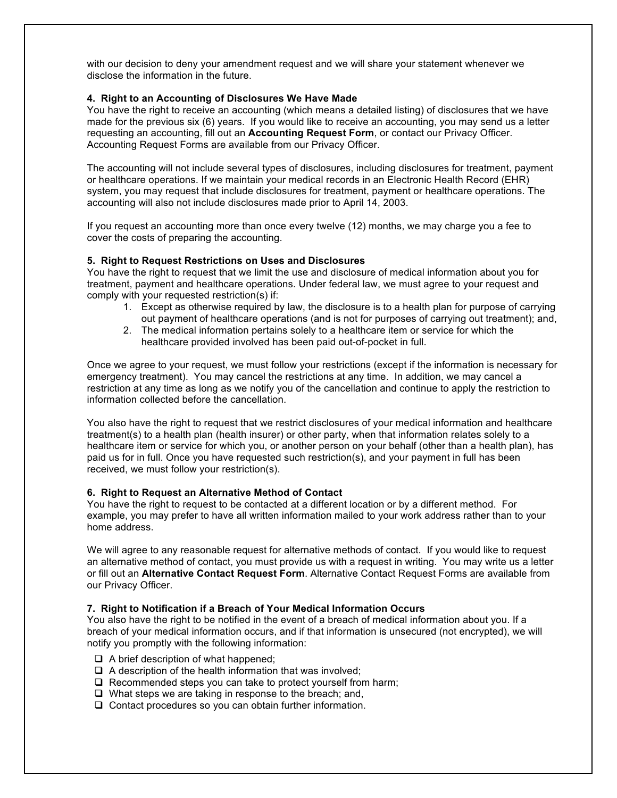with our decision to deny your amendment request and we will share your statement whenever we disclose the information in the future.

#### **4. Right to an Accounting of Disclosures We Have Made**

You have the right to receive an accounting (which means a detailed listing) of disclosures that we have made for the previous six (6) years. If you would like to receive an accounting, you may send us a letter requesting an accounting, fill out an **Accounting Request Form**, or contact our Privacy Officer. Accounting Request Forms are available from our Privacy Officer.

The accounting will not include several types of disclosures, including disclosures for treatment, payment or healthcare operations. If we maintain your medical records in an Electronic Health Record (EHR) system, you may request that include disclosures for treatment, payment or healthcare operations. The accounting will also not include disclosures made prior to April 14, 2003.

If you request an accounting more than once every twelve (12) months, we may charge you a fee to cover the costs of preparing the accounting.

#### **5. Right to Request Restrictions on Uses and Disclosures**

You have the right to request that we limit the use and disclosure of medical information about you for treatment, payment and healthcare operations. Under federal law, we must agree to your request and comply with your requested restriction(s) if:

- 1. Except as otherwise required by law, the disclosure is to a health plan for purpose of carrying out payment of healthcare operations (and is not for purposes of carrying out treatment); and,
- 2. The medical information pertains solely to a healthcare item or service for which the healthcare provided involved has been paid out-of-pocket in full.

Once we agree to your request, we must follow your restrictions (except if the information is necessary for emergency treatment). You may cancel the restrictions at any time. In addition, we may cancel a restriction at any time as long as we notify you of the cancellation and continue to apply the restriction to information collected before the cancellation.

You also have the right to request that we restrict disclosures of your medical information and healthcare treatment(s) to a health plan (health insurer) or other party, when that information relates solely to a healthcare item or service for which you, or another person on your behalf (other than a health plan), has paid us for in full. Once you have requested such restriction(s), and your payment in full has been received, we must follow your restriction(s).

#### **6. Right to Request an Alternative Method of Contact**

You have the right to request to be contacted at a different location or by a different method. For example, you may prefer to have all written information mailed to your work address rather than to your home address.

We will agree to any reasonable request for alternative methods of contact. If you would like to request an alternative method of contact, you must provide us with a request in writing. You may write us a letter or fill out an **Alternative Contact Request Form**. Alternative Contact Request Forms are available from our Privacy Officer.

#### **7. Right to Notification if a Breach of Your Medical Information Occurs**

You also have the right to be notified in the event of a breach of medical information about you. If a breach of your medical information occurs, and if that information is unsecured (not encrypted), we will notify you promptly with the following information:

- $\Box$  A brief description of what happened;
- $\Box$  A description of the health information that was involved;
- $\Box$  Recommended steps you can take to protect yourself from harm;
- $\Box$  What steps we are taking in response to the breach; and,
- $\Box$  Contact procedures so you can obtain further information.